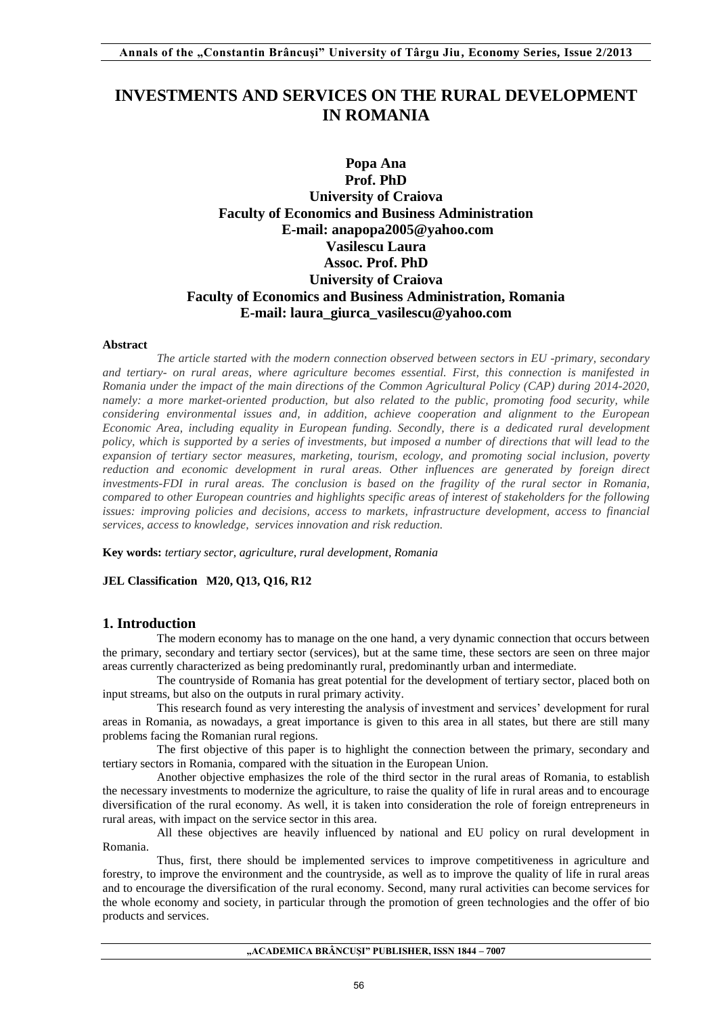# **INVESTMENTS AND SERVICES ON THE RURAL DEVELOPMENT IN ROMANIA**

# **Popa Ana Prof. PhD University of Craiova Faculty of Economics and Business Administration E-mail: anapopa2005@yahoo.com Vasilescu Laura Assoc. Prof. PhD University of Craiova Faculty of Economics and Business Administration, Romania E-mail: laura\_giurca\_vasilescu@yahoo.com**

#### **Abstract**

*The article started with the modern connection observed between sectors in EU -primary, secondary and tertiary- on rural areas, where agriculture becomes essential. First, this connection is manifested in Romania under the impact of the main directions of the Common Agricultural Policy (CAP) during 2014-2020, namely: a more market-oriented production, but also related to the public, promoting food security, while considering environmental issues and, in addition, achieve cooperation and alignment to the European Economic Area, including equality in European funding. Secondly, there is a dedicated rural development*  policy, which is supported by a series of investments, but imposed a number of directions that will lead to the *expansion of tertiary sector measures, marketing, tourism, ecology, and promoting social inclusion, poverty reduction and economic development in rural areas. Other influences are generated by foreign direct investments-FDI in rural areas. The conclusion is based on the fragility of the rural sector in Romania, compared to other European countries and highlights specific areas of interest of stakeholders for the following issues: improving policies and decisions, access to markets, infrastructure development, access to financial services, access to knowledge, services innovation and risk reduction.*

**Key words:** *tertiary sector, agriculture, rural development, Romania*

### **JEL Classification M20, Q13, Q16, R12**

### **1. Introduction**

The modern economy has to manage on the one hand, a very dynamic connection that occurs between the primary, secondary and tertiary sector (services), but at the same time, these sectors are seen on three major areas currently characterized as being predominantly rural, predominantly urban and intermediate.

The countryside of Romania has great potential for the development of tertiary sector, placed both on input streams, but also on the outputs in rural primary activity.

This research found as very interesting the analysis of investment and services' development for rural areas in Romania, as nowadays, a great importance is given to this area in all states, but there are still many problems facing the Romanian rural regions.

The first objective of this paper is to highlight the connection between the primary, secondary and tertiary sectors in Romania, compared with the situation in the European Union.

Another objective emphasizes the role of the third sector in the rural areas of Romania, to establish the necessary investments to modernize the agriculture, to raise the quality of life in rural areas and to encourage diversification of the rural economy. As well, it is taken into consideration the role of foreign entrepreneurs in rural areas, with impact on the service sector in this area.

All these objectives are heavily influenced by national and EU policy on rural development in Romania.

Thus, first, there should be implemented services to improve competitiveness in agriculture and forestry, to improve the environment and the countryside, as well as to improve the quality of life in rural areas and to encourage the diversification of the rural economy. Second, many rural activities can become services for the whole economy and society, in particular through the promotion of green technologies and the offer of bio products and services.

**"ACADEMICA BRÂNCUŞI" PUBLISHER, ISSN 1844 – 7007**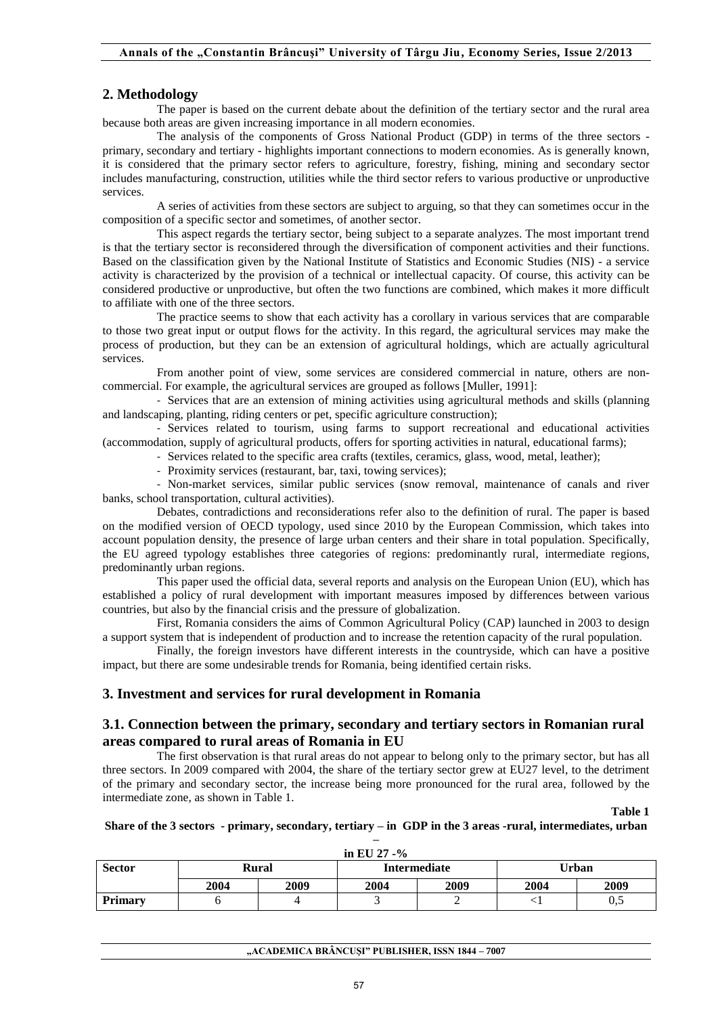# **2. Methodology**

The paper is based on the current debate about the definition of the tertiary sector and the rural area because both areas are given increasing importance in all modern economies.

The analysis of the components of Gross National Product (GDP) in terms of the three sectors primary, secondary and tertiary - highlights important connections to modern economies. As is generally known, it is considered that the primary sector refers to agriculture, forestry, fishing, mining and secondary sector includes manufacturing, construction, utilities while the third sector refers to various productive or unproductive services.

A series of activities from these sectors are subject to arguing, so that they can sometimes occur in the composition of a specific sector and sometimes, of another sector.

This aspect regards the tertiary sector, being subject to a separate analyzes. The most important trend is that the tertiary sector is reconsidered through the diversification of component activities and their functions. Based on the classification given by the National Institute of Statistics and Economic Studies (NIS) - a service activity is characterized by the provision of a technical or intellectual capacity. Of course, this activity can be considered productive or unproductive, but often the two functions are combined, which makes it more difficult to affiliate with one of the three sectors.

The practice seems to show that each activity has a corollary in various services that are comparable to those two great input or output flows for the activity. In this regard, the agricultural services may make the process of production, but they can be an extension of agricultural holdings, which are actually agricultural services.

From another point of view, some services are considered commercial in nature, others are noncommercial. For example, the agricultural services are grouped as follows [Muller, 1991]:

- Services that are an extension of mining activities using agricultural methods and skills (planning and landscaping, planting, riding centers or pet, specific agriculture construction);

- Services related to tourism, using farms to support recreational and educational activities (accommodation, supply of agricultural products, offers for sporting activities in natural, educational farms);

- Services related to the specific area crafts (textiles, ceramics, glass, wood, metal, leather);

- Proximity services (restaurant, bar, taxi, towing services);

- Non-market services, similar public services (snow removal, maintenance of canals and river banks, school transportation, cultural activities).

Debates, contradictions and reconsiderations refer also to the definition of rural. The paper is based on the modified version of OECD typology, used since 2010 by the European Commission, which takes into account population density, the presence of large urban centers and their share in total population. Specifically, the EU agreed typology establishes three categories of regions: predominantly rural, intermediate regions, predominantly urban regions.

This paper used the official data, several reports and analysis on the European Union (EU), which has established a policy of rural development with important measures imposed by differences between various countries, but also by the financial crisis and the pressure of globalization.

First, Romania considers the aims of Common Agricultural Policy (CAP) launched in 2003 to design a support system that is independent of production and to increase the retention capacity of the rural population.

Finally, the foreign investors have different interests in the countryside, which can have a positive impact, but there are some undesirable trends for Romania, being identified certain risks.

### **3. Investment and services for rural development in Romania**

### **3.1. Connection between the primary, secondary and tertiary sectors in Romanian rural areas compared to rural areas of Romania in EU**

The first observation is that rural areas do not appear to belong only to the primary sector, but has all three sectors. In 2009 compared with 2004, the share of the tertiary sector grew at EU27 level, to the detriment of the primary and secondary sector, the increase being more pronounced for the rural area, followed by the intermediate zone, as shown in Table 1.

**Table 1** 

### **Share of the 3 sectors - primary, secondary, tertiary – in GDP in the 3 areas -rural, intermediates, urban –**

| in EU 27 - $%$ |      |       |      |                     |       |      |  |
|----------------|------|-------|------|---------------------|-------|------|--|
| <b>Sector</b>  |      | Rural |      | <b>Intermediate</b> | Urban |      |  |
|                | 2004 | 2009  | 2004 | 2009                | 2004  | 2009 |  |
| <b>Primary</b> |      |       |      |                     |       | 0,5  |  |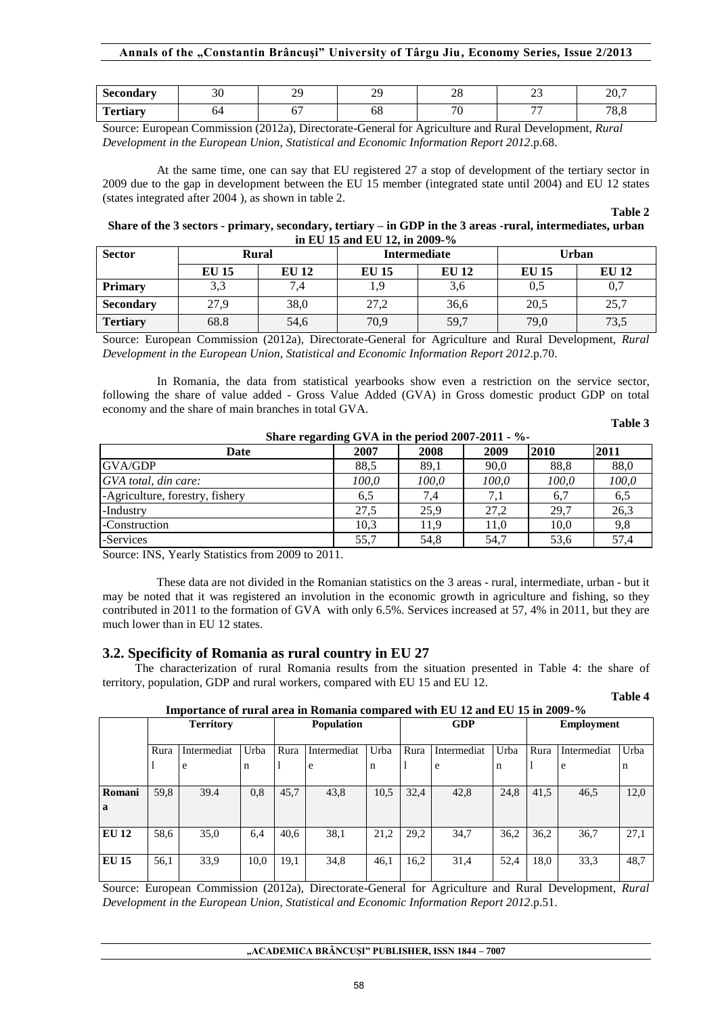# **Annals of the "Constantin Brâncuşi" University of Târgu Jiu, Economy Series, Issue 2/2013**

| Secondary       | 30 | $\gamma$<br>,,, | ററ<br>. . | $\sim$ $\sim$<br>$\angle 0$ | $\sim$<br>$\overline{\phantom{a}}$ | 207<br>— ∠ ∪ ⊶ |
|-----------------|----|-----------------|-----------|-----------------------------|------------------------------------|----------------|
| <b>Tertiary</b> | O4 | --<br>ັ         | υo        | $\sim$                      | $\overline{\phantom{a}}$           | 70<br>v.v      |

Source: European Commission (2012a), Directorate-General for Agriculture and Rural Development, *Rural Development in the European Union, Statistical and Economic Information Report 2012*.p.68.

At the same time, one can say that EU registered 27 a stop of development of the tertiary sector in 2009 due to the gap in development between the EU 15 member (integrated state until 2004) and EU 12 states (states integrated after 2004 ), as shown in table 2.

**Table 2** 

**Share of the 3 sectors - primary, secondary, tertiary – in GDP in the 3 areas -rural, intermediates, urban in EU 15 and EU 12, in 2009-%** 

| <b>Sector</b>    | <b>Rural</b> |              |              | <b>Intermediate</b> | Urban        |              |  |
|------------------|--------------|--------------|--------------|---------------------|--------------|--------------|--|
|                  | <b>EU 15</b> | <b>EU 12</b> | <b>EU 15</b> | <b>EU 12</b>        | <b>EU 15</b> | <b>EU 12</b> |  |
| <b>Primary</b>   | 3,3          | 7,4          |              | 3,6                 | 0.5          | 0,7          |  |
| <b>Secondary</b> | 27,9         | 38,0         | 27,2         | 36,6                | 20,5         | 25,7         |  |
| <b>Tertiary</b>  | 68.8         | 54,6         | 70,9         | 59,7                | 79,0         | 73,5         |  |

Source: European Commission (2012a), Directorate-General for Agriculture and Rural Development, *Rural Development in the European Union, Statistical and Economic Information Report 2012*.p.70.

In Romania, the data from statistical yearbooks show even a restriction on the service sector, following the share of value added - Gross Value Added (GVA) in Gross domestic product GDP on total economy and the share of main branches in total GVA.

**Share regarding GVA in the period 2007-2011 - %-** 

#### **Table 3**

**Table 4**

| Share regarding $GVA$ in the period $200/-2011 - ?$ |       |       |       |       |       |
|-----------------------------------------------------|-------|-------|-------|-------|-------|
| Date                                                | 2007  | 2008  | 2009  | 2010  | 2011  |
| <b>GVA/GDP</b>                                      | 88.5  | 89,1  | 90,0  | 88,8  | 88,0  |
| GVA total, din care:                                | 100.0 | 100,0 | 100,0 | 100,0 | 100,0 |
| -Agriculture, forestry, fishery                     | 6,5   | 7.4   |       | 6,7   | 6,5   |
| -Industry                                           | 27.5  | 25.9  | 27.2  | 29.7  | 26.3  |
| -Construction                                       | 10.3  | 11.9  | 11,0  | 10.0  | 9,8   |
| -Services                                           | 55,7  | 54,8  | 54.7  | 53,6  | 57.4  |

Source: INS, Yearly Statistics from 2009 to 2011.

These data are not divided in the Romanian statistics on the 3 areas - rural, intermediate, urban - but it may be noted that it was registered an involution in the economic growth in agriculture and fishing, so they contributed in 2011 to the formation of GVA with only 6.5%. Services increased at 57, 4% in 2011, but they are much lower than in EU 12 states.

### **3.2. Specificity of Romania as rural country in EU 27**

The characterization of rural Romania results from the situation presented in Table 4: the share of territory, population, GDP and rural workers, compared with EU 15 and EU 12.

|--|

|              | <b>Territory</b> |             |      | <b>Population</b> |             | <b>GDP</b> |      |             | <b>Employment</b> |      |             |      |
|--------------|------------------|-------------|------|-------------------|-------------|------------|------|-------------|-------------------|------|-------------|------|
|              |                  |             |      |                   |             |            |      |             |                   |      |             |      |
|              | Rura             | Intermediat | Urba | Rura              | Intermediat | Urba       | Rura | Intermediat | Urba              | Rura | Intermediat | Urba |
|              |                  | e           | n    |                   | e           | n          |      | e           | n                 |      | e           | n    |
|              |                  |             |      |                   |             |            |      |             |                   |      |             |      |
| Romani       | 59,8             | 39.4        | 0,8  | 45,7              | 43,8        | 10,5       | 32,4 | 42,8        | 24,8              | 41,5 | 46,5        | 12,0 |
| $\mathbf{a}$ |                  |             |      |                   |             |            |      |             |                   |      |             |      |
|              |                  |             |      |                   |             |            |      |             |                   |      |             |      |
| EU 12        | 58.6             | 35,0        | 6,4  | 40.6              | 38.1        | 21.2       | 29,2 | 34,7        | 36,2              | 36.2 | 36,7        | 27,1 |
|              |                  |             |      |                   |             |            |      |             |                   |      |             |      |
| <b>EU 15</b> | 56,1             | 33,9        | 10,0 | 19,1              | 34,8        | 46,1       | 16,2 | 31,4        | 52,4              | 18,0 | 33.3        | 48,7 |
|              |                  |             |      |                   |             |            |      |             |                   |      |             |      |

Source: European Commission (2012a), Directorate-General for Agriculture and Rural Development, *Rural Development in the European Union, Statistical and Economic Information Report 2012*.p.51.

**"ACADEMICA BRÂNCUŞI" PUBLISHER, ISSN 1844 – 7007**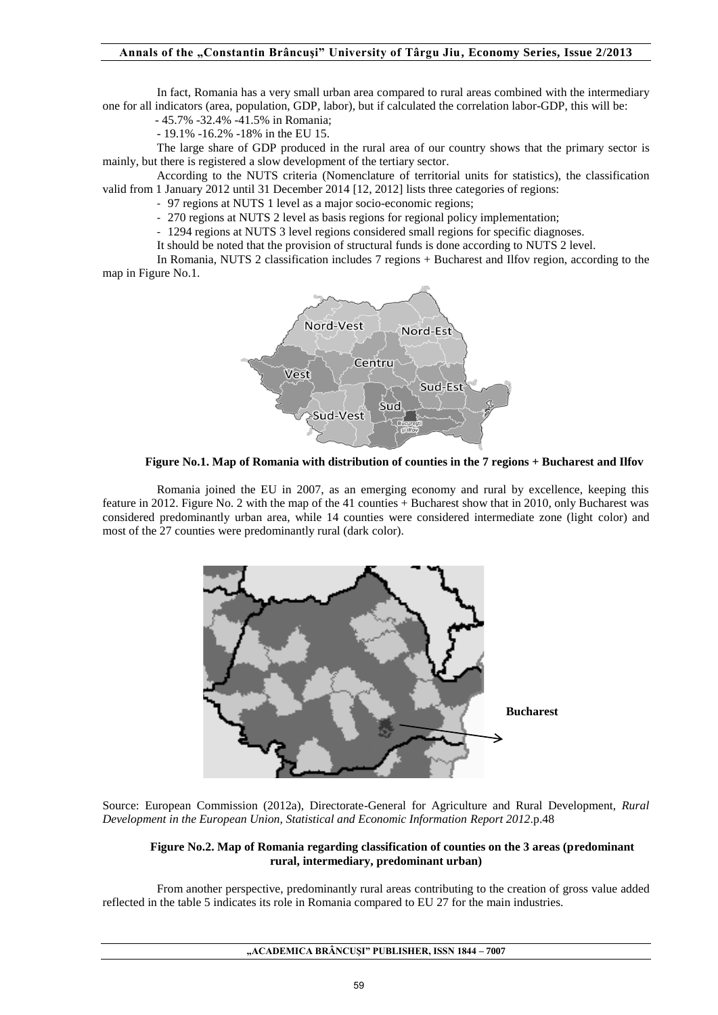In fact, Romania has a very small urban area compared to rural areas combined with the intermediary one for all indicators (area, population, GDP, labor), but if calculated the correlation labor-GDP, this will be:

- 45.7% -32.4% -41.5% in Romania;

- 19.1% -16.2% -18% in the EU 15.

The large share of GDP produced in the rural area of our country shows that the primary sector is mainly, but there is registered a slow development of the tertiary sector.

According to the NUTS criteria (Nomenclature of territorial units for statistics), the classification valid from 1 January 2012 until 31 December 2014 [12, 2012] lists three categories of regions:

- 97 regions at NUTS 1 level as a major socio-economic regions;

- 270 regions at NUTS 2 level as basis regions for regional policy implementation;

- 1294 regions at NUTS 3 level regions considered small regions for specific diagnoses.

It should be noted that the provision of structural funds is done according to NUTS 2 level.

In Romania, NUTS 2 classification includes 7 regions + Bucharest and Ilfov region, according to the map in Figure No.1.



**Figure No.1. Map of Romania with distribution of counties in the 7 regions + Bucharest and Ilfov** 

Romania joined the EU in 2007, as an emerging economy and rural by excellence, keeping this feature in 2012. Figure No. 2 with the map of the 41 counties + Bucharest show that in 2010, only Bucharest was considered predominantly urban area, while 14 counties were considered intermediate zone (light color) and most of the 27 counties were predominantly rural (dark color).



Source: European Commission (2012a), Directorate-General for Agriculture and Rural Development, *Rural Development in the European Union, Statistical and Economic Information Report 2012*.p.48

#### **Figure No.2. Map of Romania regarding classification of counties on the 3 areas (predominant rural, intermediary, predominant urban)**

From another perspective, predominantly rural areas contributing to the creation of gross value added reflected in the table 5 indicates its role in Romania compared to EU 27 for the main industries.

**"ACADEMICA BRÂNCUŞI" PUBLISHER, ISSN 1844 – 7007**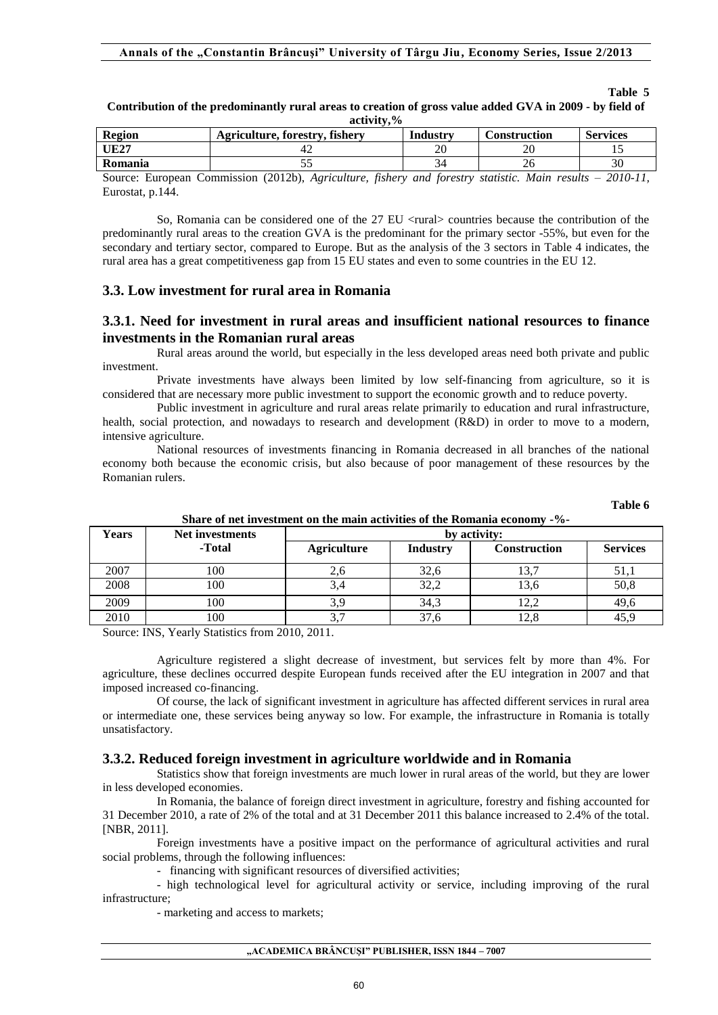| acuvity, 70    |                                |          |              |                 |  |  |  |
|----------------|--------------------------------|----------|--------------|-----------------|--|--|--|
| <b>Region</b>  | Agriculture, forestry, fishery | Industry | Construction | <b>Services</b> |  |  |  |
| <b>UE27</b>    |                                | 20       | ΖU           |                 |  |  |  |
| <b>Romania</b> |                                |          | 40           |                 |  |  |  |

#### **Contribution of the predominantly rural areas to creation of gross value added GVA in 2009 - by field of activity,%**

Source: European Commission (2012b), *Agriculture, fishery and forestry statistic. Main results – 2010-11,*  Eurostat, p.144.

So. Romania can be considered one of the 27 EU  $\langle$  rural $\rangle$  countries because the contribution of the predominantly rural areas to the creation GVA is the predominant for the primary sector -55%, but even for the secondary and tertiary sector, compared to Europe. But as the analysis of the 3 sectors in Table 4 indicates, the rural area has a great competitiveness gap from 15 EU states and even to some countries in the EU 12.

# **3.3. Low investment for rural area in Romania**

## **3.3.1. Need for investment in rural areas and insufficient national resources to finance investments in the Romanian rural areas**

Rural areas around the world, but especially in the less developed areas need both private and public investment.

Private investments have always been limited by low self-financing from agriculture, so it is considered that are necessary more public investment to support the economic growth and to reduce poverty.

Public investment in agriculture and rural areas relate primarily to education and rural infrastructure, health, social protection, and nowadays to research and development (R&D) in order to move to a modern, intensive agriculture.

National resources of investments financing in Romania decreased in all branches of the national economy both because the economic crisis, but also because of poor management of these resources by the Romanian rulers.

**Table 6** 

**Table 5** 

| Years | Net investments | onare or net investment on the main activities or the romania economy - 70-<br>by activity: |                 |                     |                 |  |  |  |
|-------|-----------------|---------------------------------------------------------------------------------------------|-----------------|---------------------|-----------------|--|--|--|
|       | -Total          | <b>Agriculture</b>                                                                          | <b>Industry</b> | <b>Construction</b> | <b>Services</b> |  |  |  |
| 2007  | 100             | 2,0                                                                                         | 32,6            |                     | 51,1            |  |  |  |
| 2008  | 100             | 3,4                                                                                         | 32,2            | 13,6                | 50,8            |  |  |  |
| 2009  | 100             | 3,9                                                                                         | 34,3            |                     | 49,6            |  |  |  |
| 2010  | 100             |                                                                                             | 37.6            |                     | 45,9            |  |  |  |

**Share of net investment on the main activities of the Romania economy -%-** 

Source: INS, Yearly Statistics from 2010, 2011.

Agriculture registered a slight decrease of investment, but services felt by more than 4%. For agriculture, these declines occurred despite European funds received after the EU integration in 2007 and that imposed increased co-financing.

Of course, the lack of significant investment in agriculture has affected different services in rural area or intermediate one, these services being anyway so low. For example, the infrastructure in Romania is totally unsatisfactory.

### **3.3.2. Reduced foreign investment in agriculture worldwide and in Romania**

Statistics show that foreign investments are much lower in rural areas of the world, but they are lower in less developed economies.

In Romania, the balance of foreign direct investment in agriculture, forestry and fishing accounted for 31 December 2010, a rate of 2% of the total and at 31 December 2011 this balance increased to 2.4% of the total. [NBR, 2011].

Foreign investments have a positive impact on the performance of agricultural activities and rural social problems, through the following influences:

- financing with significant resources of diversified activities;

- high technological level for agricultural activity or service, including improving of the rural infrastructure;

- marketing and access to markets;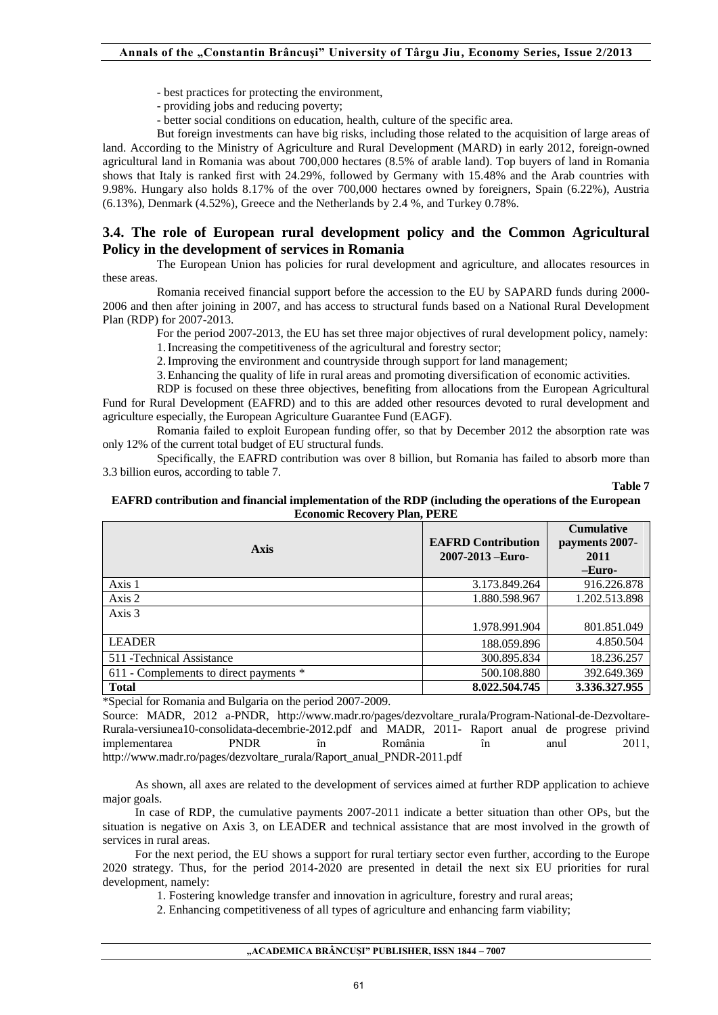- best practices for protecting the environment,
- providing jobs and reducing poverty;
- better social conditions on education, health, culture of the specific area.

But foreign investments can have big risks, including those related to the acquisition of large areas of land. According to the Ministry of Agriculture and Rural Development (MARD) in early 2012, foreign-owned agricultural land in Romania was about 700,000 hectares (8.5% of arable land). Top buyers of land in Romania shows that Italy is ranked first with 24.29%, followed by Germany with 15.48% and the Arab countries with 9.98%. Hungary also holds 8.17% of the over 700,000 hectares owned by foreigners, Spain (6.22%), Austria (6.13%), Denmark (4.52%), Greece and the Netherlands by 2.4 %, and Turkey 0.78%.

### **3.4. The role of European rural development policy and the Common Agricultural Policy in the development of services in Romania**

The European Union has policies for rural development and agriculture, and allocates resources in these areas.

Romania received financial support before the accession to the EU by SAPARD funds during 2000- 2006 and then after joining in 2007, and has access to structural funds based on a National Rural Development Plan (RDP) for 2007-2013.

For the period 2007-2013, the EU has set three major objectives of rural development policy, namely:

1.Increasing the competitiveness of the agricultural and forestry sector;

2.Improving the environment and countryside through support for land management;

3.Enhancing the quality of life in rural areas and promoting diversification of economic activities.

RDP is focused on these three objectives, benefiting from allocations from the European Agricultural Fund for Rural Development (EAFRD) and to this are added other resources devoted to rural development and agriculture especially, the European Agriculture Guarantee Fund (EAGF).

Romania failed to exploit European funding offer, so that by December 2012 the absorption rate was only 12% of the current total budget of EU structural funds.

Specifically, the EAFRD contribution was over 8 billion, but Romania has failed to absorb more than 3.3 billion euros, according to table 7.

#### **Table 7**

### **EAFRD contribution and financial implementation of the RDP (including the operations of the European Economic Recovery Plan, PERE**

| <b>Axis</b>                            | <b>EAFRD Contribution</b><br>$2007 - 2013 - Euro-$ | <b>Cumulative</b><br>payments 2007-<br>2011<br>-Euro- |
|----------------------------------------|----------------------------------------------------|-------------------------------------------------------|
| Axis 1                                 | 3.173.849.264                                      | 916.226.878                                           |
| Axis 2                                 | 1.880.598.967                                      | 1.202.513.898                                         |
| Axis 3                                 |                                                    |                                                       |
|                                        | 1.978.991.904                                      | 801.851.049                                           |
| <b>LEADER</b>                          | 188.059.896                                        | 4.850.504                                             |
| 511 - Technical Assistance             | 300.895.834                                        | 18.236.257                                            |
| 611 - Complements to direct payments * | 500.108.880                                        | 392.649.369                                           |
| <b>Total</b>                           | 8.022.504.745                                      | 3.336.327.955                                         |

\*Special for Romania and Bulgaria on the period 2007-2009.

Source: MADR, 2012 a-PNDR, http://www.madr.ro/pages/dezvoltare\_rurala/Program-National-de-Dezvoltare-Rurala-versiunea10-consolidata-decembrie-2012.pdf and MADR, 2011- Raport anual de progrese privind implementarea PNDR în România în anul 2011, http://www.madr.ro/pages/dezvoltare\_rurala/Raport\_anual\_PNDR-2011.pdf

As shown, all axes are related to the development of services aimed at further RDP application to achieve major goals.

In case of RDP, the cumulative payments 2007-2011 indicate a better situation than other OPs, but the situation is negative on Axis 3, on LEADER and technical assistance that are most involved in the growth of services in rural areas.

For the next period, the EU shows a support for rural tertiary sector even further, according to the Europe 2020 strategy. Thus, for the period 2014-2020 are presented in detail the next six EU priorities for rural development, namely:

1. Fostering knowledge transfer and innovation in agriculture, forestry and rural areas;

2. Enhancing competitiveness of all types of agriculture and enhancing farm viability;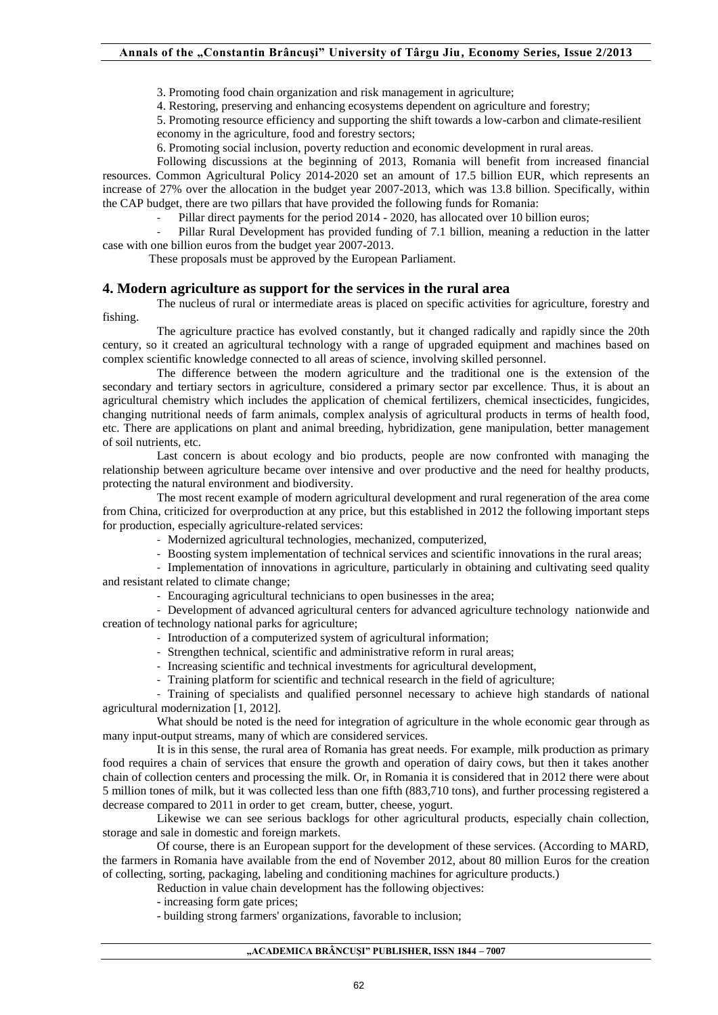3. Promoting food chain organization and risk management in agriculture;

4. Restoring, preserving and enhancing ecosystems dependent on agriculture and forestry;

5. Promoting resource efficiency and supporting the shift towards a low-carbon and climate-resilient economy in the agriculture, food and forestry sectors;

6. Promoting social inclusion, poverty reduction and economic development in rural areas.

Following discussions at the beginning of 2013, Romania will benefit from increased financial resources. Common Agricultural Policy 2014-2020 set an amount of 17.5 billion EUR, which represents an increase of 27% over the allocation in the budget year 2007-2013, which was 13.8 billion. Specifically, within the CAP budget, there are two pillars that have provided the following funds for Romania:

Pillar direct payments for the period 2014 - 2020, has allocated over 10 billion euros;

Pillar Rural Development has provided funding of 7.1 billion, meaning a reduction in the latter case with one billion euros from the budget year 2007-2013.

These proposals must be approved by the European Parliament.

# **4. Modern agriculture as support for the services in the rural area**

The nucleus of rural or intermediate areas is placed on specific activities for agriculture, forestry and fishing.

The agriculture practice has evolved constantly, but it changed radically and rapidly since the 20th century, so it created an agricultural technology with a range of upgraded equipment and machines based on complex scientific knowledge connected to all areas of science, involving skilled personnel.

The difference between the modern agriculture and the traditional one is the extension of the secondary and tertiary sectors in agriculture, considered a primary sector par excellence. Thus, it is about an agricultural chemistry which includes the application of chemical fertilizers, chemical insecticides, fungicides, changing nutritional needs of farm animals, complex analysis of agricultural products in terms of health food, etc. There are applications on plant and animal breeding, hybridization, gene manipulation, better management of soil nutrients, etc.

Last concern is about ecology and bio products, people are now confronted with managing the relationship between agriculture became over intensive and over productive and the need for healthy products, protecting the natural environment and biodiversity.

The most recent example of modern agricultural development and rural regeneration of the area come from China, criticized for overproduction at any price, but this established in 2012 the following important steps for production, especially agriculture-related services:

- Modernized agricultural technologies, mechanized, computerized,

- Boosting system implementation of technical services and scientific innovations in the rural areas;

- Implementation of innovations in agriculture, particularly in obtaining and cultivating seed quality and resistant related to climate change;

- Encouraging agricultural technicians to open businesses in the area;

- Development of advanced agricultural centers for advanced agriculture technology nationwide and creation of technology national parks for agriculture;

- Introduction of a computerized system of agricultural information;

- Strengthen technical, scientific and administrative reform in rural areas;
- Increasing scientific and technical investments for agricultural development,
- Training platform for scientific and technical research in the field of agriculture;

- Training of specialists and qualified personnel necessary to achieve high standards of national agricultural modernization [1, 2012].

What should be noted is the need for integration of agriculture in the whole economic gear through as many input-output streams, many of which are considered services.

It is in this sense, the rural area of Romania has great needs. For example, milk production as primary food requires a chain of services that ensure the growth and operation of dairy cows, but then it takes another chain of collection centers and processing the milk. Or, in Romania it is considered that in 2012 there were about 5 million tones of milk, but it was collected less than one fifth (883,710 tons), and further processing registered a decrease compared to 2011 in order to get cream, butter, cheese, yogurt.

Likewise we can see serious backlogs for other agricultural products, especially chain collection, storage and sale in domestic and foreign markets.

Of course, there is an European support for the development of these services. (According to MARD, the farmers in Romania have available from the end of November 2012, about 80 million Euros for the creation of collecting, sorting, packaging, labeling and conditioning machines for agriculture products.)

Reduction in value chain development has the following objectives:

- increasing form gate prices;

- building strong farmers' organizations, favorable to inclusion;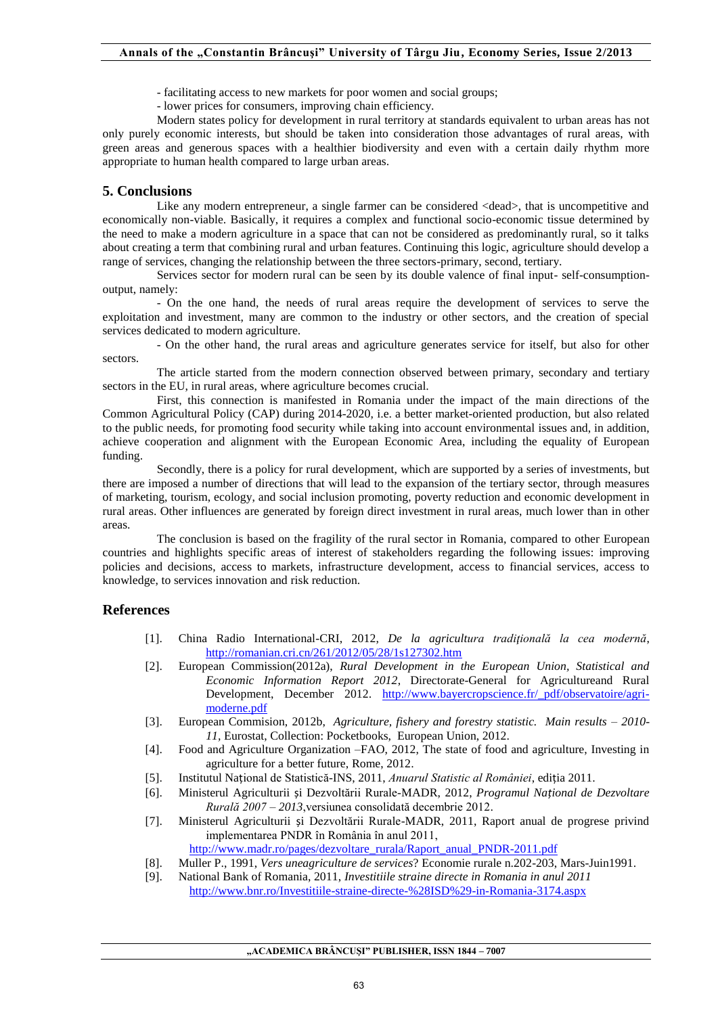- facilitating access to new markets for poor women and social groups;
- lower prices for consumers, improving chain efficiency.

Modern states policy for development in rural territory at standards equivalent to urban areas has not only purely economic interests, but should be taken into consideration those advantages of rural areas, with green areas and generous spaces with a healthier biodiversity and even with a certain daily rhythm more appropriate to human health compared to large urban areas.

### **5. Conclusions**

Like any modern entrepreneur, a single farmer can be considered  $\langle dead\rangle$ , that is uncompetitive and economically non-viable. Basically, it requires a complex and functional socio-economic tissue determined by the need to make a modern agriculture in a space that can not be considered as predominantly rural, so it talks about creating a term that combining rural and urban features. Continuing this logic, agriculture should develop a range of services, changing the relationship between the three sectors-primary, second, tertiary.

Services sector for modern rural can be seen by its double valence of final input- self-consumptionoutput, namely:

- On the one hand, the needs of rural areas require the development of services to serve the exploitation and investment, many are common to the industry or other sectors, and the creation of special services dedicated to modern agriculture.

- On the other hand, the rural areas and agriculture generates service for itself, but also for other sectors.

The article started from the modern connection observed between primary, secondary and tertiary sectors in the EU, in rural areas, where agriculture becomes crucial.

First, this connection is manifested in Romania under the impact of the main directions of the Common Agricultural Policy (CAP) during 2014-2020, i.e. a better market-oriented production, but also related to the public needs, for promoting food security while taking into account environmental issues and, in addition, achieve cooperation and alignment with the European Economic Area, including the equality of European funding.

Secondly, there is a policy for rural development, which are supported by a series of investments, but there are imposed a number of directions that will lead to the expansion of the tertiary sector, through measures of marketing, tourism, ecology, and social inclusion promoting, poverty reduction and economic development in rural areas. Other influences are generated by foreign direct investment in rural areas, much lower than in other areas.

The conclusion is based on the fragility of the rural sector in Romania, compared to other European countries and highlights specific areas of interest of stakeholders regarding the following issues: improving policies and decisions, access to markets, infrastructure development, access to financial services, access to knowledge, to services innovation and risk reduction.

### **References**

- [1]. China Radio International-CRI, 2012, *De la agricultura tradiţională la cea modernă*, <http://romanian.cri.cn/261/2012/05/28/1s127302.htm>
- [2]. European Commission(2012a), *Rural Development in the European Union, Statistical and Economic Information Report 2012*, Directorate-General for Agricultureand Rural Development, December 2012. [http://www.bayercropscience.fr/\\_pdf/observatoire/agri](http://www.bayercropscience.fr/_pdf/observatoire/agri-moderne.pdf)[moderne.pdf](http://www.bayercropscience.fr/_pdf/observatoire/agri-moderne.pdf)
- [3]. European Commision, 2012b, *Agriculture, fishery and forestry statistic. Main results – 2010- 11,* Eurostat, Collection: Pocketbooks, European Union, 2012.
- [4]. Food and Agriculture Organization –FAO, 2012, The state of food and agriculture, Investing in agriculture for a better future, Rome, 2012.
- [5]. Institutul Național de Statistică-INS, 2011, *Anuarul Statistic al României*, ediția 2011.
- [6]. Ministerul Agriculturii și Dezvoltării Rurale-MADR, 2012, *Programul Național de Dezvoltare Rurală 2007 – 2013*,versiunea consolidată decembrie 2012.
- [7]. Ministerul Agriculturii și Dezvoltării Rurale-MADR, 2011, Raport anual de progrese privind implementarea PNDR în România în anul 2011, [http://www.madr.ro/pages/dezvoltare\\_rurala/Raport\\_anual\\_PNDR-2011.pdf](http://www.madr.ro/pages/dezvoltare_rurala/Raport_anual_PNDR-2011.pdf)
- [8]. Muller P., 1991, *Vers uneagriculture de services*? Economie rurale n.202-203, Mars-Juin1991.
- [9]. National Bank of Romania, 2011, *Investitiile straine directe in Romania in anul 2011* <http://www.bnr.ro/Investitiile-straine-directe-%28ISD%29-in-Romania-3174.aspx>